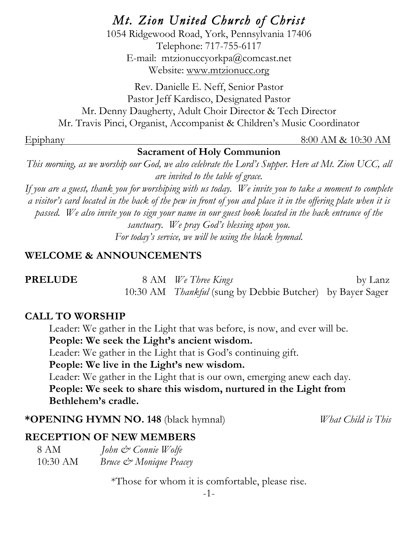*Mt. Zion United Church of Christ* 

1054 Ridgewood Road, York, Pennsylvania 17406 Telephone: 717-755-6117 E-mail: mtzionuccyorkpa@comcast.net Website: www.mtzionucc.org

Rev. Danielle E. Neff, Senior Pastor Pastor Jeff Kardisco, Designated Pastor Mr. Denny Daugherty, Adult Choir Director & Tech Director Mr. Travis Pinci, Organist, Accompanist & Children's Music Coordinator

#### Epiphany 8:00 AM & 10:30 AM

# **Sacrament of Holy Communion**

*This morning, as we worship our God, we also celebrate the Lord's Supper. Here at Mt. Zion UCC, all are invited to the table of grace.*

*If you are a guest, thank you for worshiping with us today. We invite you to take a moment to complete a visitor's card located in the back of the pew in front of you and place it in the offering plate when it is passed. We also invite you to sign your name in our guest book located in the back entrance of the sanctuary. We pray God's blessing upon you. For today's service, we will be using the black hymnal.*

#### **WELCOME & ANNOUNCEMENTS**

| <b>PRELUDE</b> | 8 AM We Three Kings                                              | by Lanz |
|----------------|------------------------------------------------------------------|---------|
|                | 10:30 AM <i>Thankful</i> (sung by Debbie Butcher) by Bayer Sager |         |

#### **CALL TO WORSHIP**

Leader: We gather in the Light that was before, is now, and ever will be. **People: We seek the Light's ancient wisdom.**

Leader: We gather in the Light that is God's continuing gift.

**People: We live in the Light's new wisdom.**

Leader: We gather in the Light that is our own, emerging anew each day. **People: We seek to share this wisdom, nurtured in the Light from Bethlehem's cradle.**

**\*OPENING HYMN NO. 148** (black hymnal)*What Child is This*

# **RECEPTION OF NEW MEMBERS**

| 8 AM     | John & Connie Wolfe    |
|----------|------------------------|
| 10:30 AM | Bruce & Monique Peacey |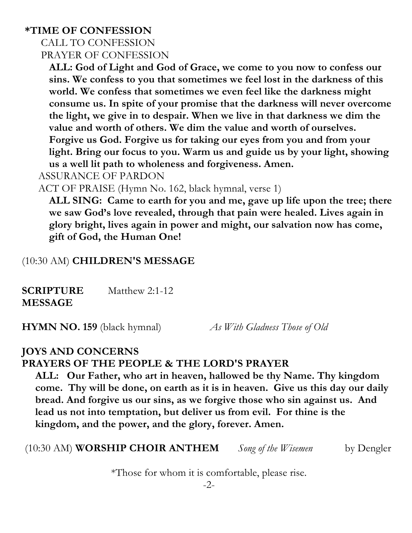#### **\*TIME OF CONFESSION**

#### CALL TO CONFESSION PRAYER OF CONFESSION

**ALL: God of Light and God of Grace, we come to you now to confess our sins. We confess to you that sometimes we feel lost in the darkness of this world. We confess that sometimes we even feel like the darkness might consume us. In spite of your promise that the darkness will never overcome the light, we give in to despair. When we live in that darkness we dim the value and worth of others. We dim the value and worth of ourselves. Forgive us God. Forgive us for taking our eyes from you and from your light. Bring our focus to you. Warm us and guide us by your light, showing us a well lit path to wholeness and forgiveness. Amen.**

ASSURANCE OF PARDON

ACT OF PRAISE (Hymn No. 162, black hymnal, verse 1)

**ALL SING: Came to earth for you and me, gave up life upon the tree; there we saw God's love revealed, through that pain were healed. Lives again in glory bright, lives again in power and might, our salvation now has come, gift of God, the Human One!**

# (10:30 AM) **CHILDREN'S MESSAGE**

**SCRIPTURE** Matthew 2:1-12 **MESSAGE** 

**HYMN NO. 159** (black hymnal) *As With Gladness Those of Old*

# **JOYS AND CONCERNS**

#### **PRAYERS OF THE PEOPLE & THE LORD'S PRAYER**

 **ALL: Our Father, who art in heaven, hallowed be thy Name. Thy kingdom come. Thy will be done, on earth as it is in heaven. Give us this day our daily bread. And forgive us our sins, as we forgive those who sin against us. And lead us not into temptation, but deliver us from evil. For thine is the kingdom, and the power, and the glory, forever. Amen.**

(10:30 AM) **WORSHIP CHOIR ANTHEM** *Song of the Wisemen* by Dengler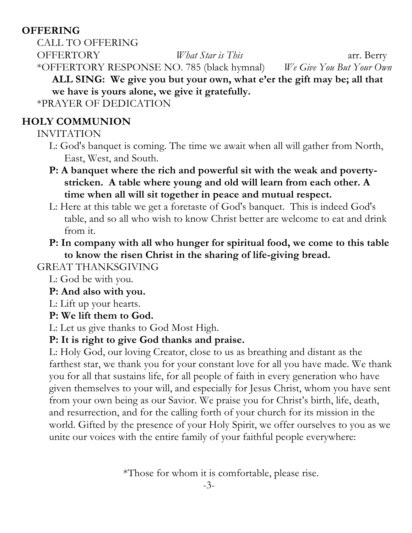# **OFFERING**

CALL TO OFFERING OFFERTORY *What Star is This* arr. Berry \*OFFERTORY RESPONSE NO. 785 (black hymnal) *We Give You But Your Own* **ALL SING: We give you but your own, what e'er the gift may be; all that we have is yours alone, we give it gratefully.** \*PRAYER OF DEDICATION

# **HOLY COMMUNION**

INVITATION

- L: God's banquet is coming. The time we await when all will gather from North, East, West, and South.
- **P: A banquet where the rich and powerful sit with the weak and povertystricken. A table where young and old will learn from each other. A time when all will sit together in peace and mutual respect.**
- L: Here at this table we get a foretaste of God's banquet. This is indeed God's table, and so all who wish to know Christ better are welcome to eat and drink from it.
- **P: In company with all who hunger for spiritual food, we come to this table to know the risen Christ in the sharing of life-giving bread.**

GREAT THANKSGIVING

- L: God be with you.
- **P: And also with you.**
- L: Lift up your hearts.
- **P: We lift them to God.**

L: Let us give thanks to God Most High.

# **P: It is right to give God thanks and praise.**

L: Holy God, our loving Creator, close to us as breathing and distant as the farthest star, we thank you for your constant love for all you have made. We thank you for all that sustains life, for all people of faith in every generation who have given themselves to your will, and especially for Jesus Christ, whom you have sent from your own being as our Savior. We praise you for Christ's birth, life, death, and resurrection, and for the calling forth of your church for its mission in the world. Gifted by the presence of your Holy Spirit, we offer ourselves to you as we unite our voices with the entire family of your faithful people everywhere: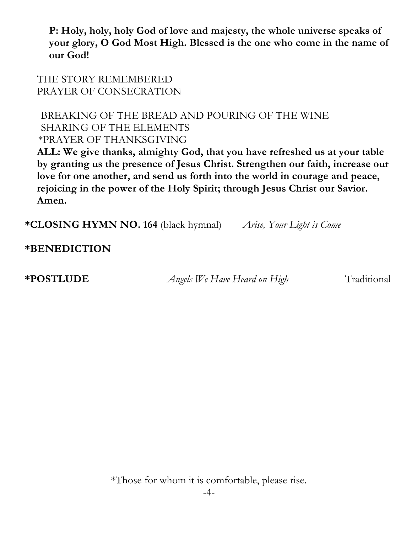**P: Holy, holy, holy God of love and majesty, the whole universe speaks of your glory, O God Most High. Blessed is the one who come in the name of our God!**

THE STORY REMEMBERED PRAYER OF CONSECRATION

#### BREAKING OF THE BREAD AND POURING OF THE WINE SHARING OF THE ELEMENTS \*PRAYER OF THANKSGIVING

**ALL: We give thanks, almighty God, that you have refreshed us at your table by granting us the presence of Jesus Christ. Strengthen our faith, increase our love for one another, and send us forth into the world in courage and peace, rejoicing in the power of the Holy Spirit; through Jesus Christ our Savior. Amen.**

**\*CLOSING HYMN NO. 164** (black hymnal) *Arise, Your Light is Come*

**\*BENEDICTION**

**\*POSTLUDE** *Angels We Have Heard on High* Traditional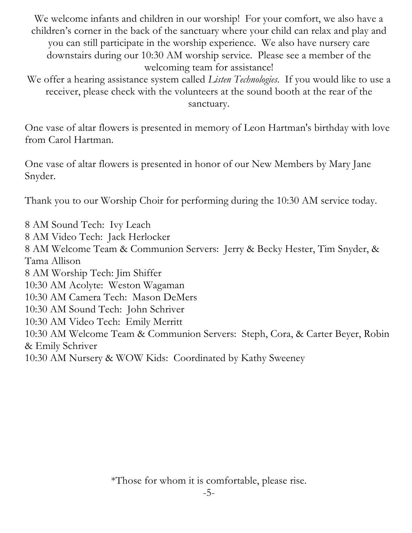We welcome infants and children in our worship! For your comfort, we also have a children's corner in the back of the sanctuary where your child can relax and play and you can still participate in the worship experience. We also have nursery care downstairs during our 10:30 AM worship service. Please see a member of the welcoming team for assistance!

We offer a hearing assistance system called *Listen Technologies*. If you would like to use a receiver, please check with the volunteers at the sound booth at the rear of the sanctuary.

One vase of altar flowers is presented in memory of Leon Hartman's birthday with love from Carol Hartman.

One vase of altar flowers is presented in honor of our New Members by Mary Jane Snyder.

Thank you to our Worship Choir for performing during the 10:30 AM service today.

8 AM Sound Tech: Ivy Leach

8 AM Video Tech: Jack Herlocker

8 AM Welcome Team & Communion Servers: Jerry & Becky Hester, Tim Snyder, & Tama Allison

8 AM Worship Tech: Jim Shiffer

10:30 AM Acolyte: Weston Wagaman

10:30 AM Camera Tech: Mason DeMers

10:30 AM Sound Tech: John Schriver

10:30 AM Video Tech: Emily Merritt

10:30 AM Welcome Team & Communion Servers: Steph, Cora, & Carter Beyer, Robin & Emily Schriver

10:30 AM Nursery & WOW Kids: Coordinated by Kathy Sweeney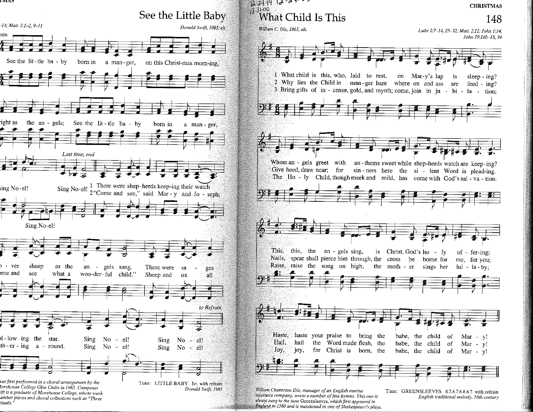

ift is a graduate of Morehouse College, whose work amber pieces and choral collections such as "Three ituals."

Donald Swift, 1983

insurance company, wrote a number of fine hymns. This one is

England in 1580 and is mentioned in one of Shakespeare's plays.

always sung to the tune Greensleeves, which first appeared in

Tune: GREENSLEEVES 8.7.8.7.6.8.6.7. with refrain English traditional melody, 16th century

148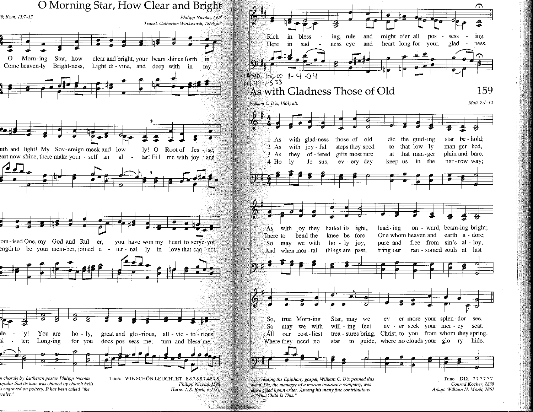

orales."



also a gifted hymnwriter. Among his many fine contributions is "What Child Is This."

Harm. J. S. Bach, c. 1731